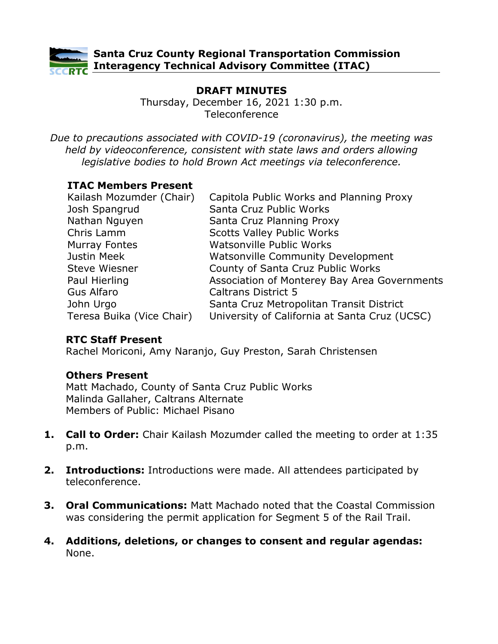

# **DRAFT MINUTES**

Thursday, December 16, 2021 1:30 p.m. Teleconference

*Due to precautions associated with COVID-19 (coronavirus), the meeting was held by videoconference, consistent with state laws and orders allowing legislative bodies to hold Brown Act meetings via teleconference.*

## **ITAC Members Present**

| Kailash Mozumder (Chair)  | Capitola Public Works and Planning Proxy      |
|---------------------------|-----------------------------------------------|
| Josh Spangrud             | Santa Cruz Public Works                       |
| Nathan Nguyen             | Santa Cruz Planning Proxy                     |
| Chris Lamm                | <b>Scotts Valley Public Works</b>             |
| <b>Murray Fontes</b>      | Watsonville Public Works                      |
| Justin Meek               | <b>Watsonville Community Development</b>      |
| <b>Steve Wiesner</b>      | County of Santa Cruz Public Works             |
| Paul Hierling             | Association of Monterey Bay Area Governments  |
| <b>Gus Alfaro</b>         | <b>Caltrans District 5</b>                    |
| John Urgo                 | Santa Cruz Metropolitan Transit District      |
| Teresa Buika (Vice Chair) | University of California at Santa Cruz (UCSC) |

#### **RTC Staff Present**

Rachel Moriconi, Amy Naranjo, Guy Preston, Sarah Christensen

#### **Others Present**

Matt Machado, County of Santa Cruz Public Works Malinda Gallaher, Caltrans Alternate Members of Public: Michael Pisano

- **1. Call to Order:** Chair Kailash Mozumder called the meeting to order at 1:35 p.m.
- **2. Introductions:** Introductions were made. All attendees participated by teleconference.
- **3. Oral Communications:** Matt Machado noted that the Coastal Commission was considering the permit application for Segment 5 of the Rail Trail.
- **4. Additions, deletions, or changes to consent and regular agendas:** None.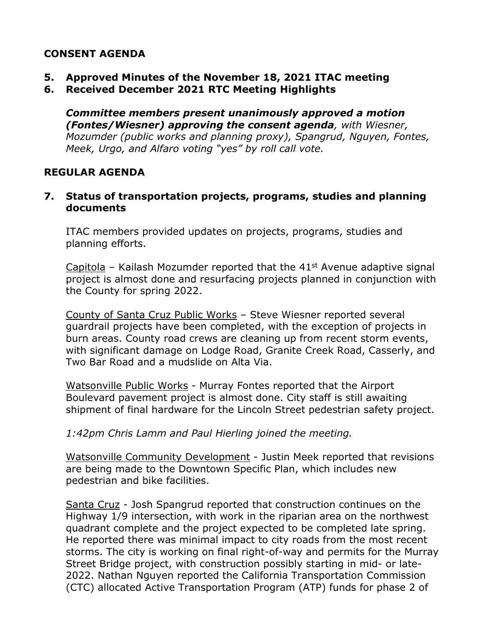# **CONSENT AGENDA**

- **5. Approved Minutes of the November 18, 2021 ITAC meeting**
- **6. Received December 2021 RTC Meeting Highlights**

*Committee members present unanimously approved a motion (Fontes/Wiesner) approving the consent agenda, with Wiesner, Mozumder (public works and planning proxy), Spangrud, Nguyen, Fontes, Meek, Urgo, and Alfaro voting "yes" by roll call vote.* 

#### **REGULAR AGENDA**

#### **7. Status of transportation projects, programs, studies and planning documents**

ITAC members provided updates on projects, programs, studies and planning efforts.

Capitola – Kailash Mozumder reported that the  $41<sup>st</sup>$  Avenue adaptive signal project is almost done and resurfacing projects planned in conjunction with the County for spring 2022.

County of Santa Cruz Public Works – Steve Wiesner reported several guardrail projects have been completed, with the exception of projects in burn areas. County road crews are cleaning up from recent storm events, with significant damage on Lodge Road, Granite Creek Road, Casserly, and Two Bar Road and a mudslide on Alta Via.

Watsonville Public Works - Murray Fontes reported that the Airport Boulevard pavement project is almost done. City staff is still awaiting shipment of final hardware for the Lincoln Street pedestrian safety project.

*1:42pm Chris Lamm and Paul Hierling joined the meeting.* 

Watsonville Community Development - Justin Meek reported that revisions are being made to the Downtown Specific Plan, which includes new pedestrian and bike facilities.

Santa Cruz - Josh Spangrud reported that construction continues on the Highway 1/9 intersection, with work in the riparian area on the northwest quadrant complete and the project expected to be completed late spring. He reported there was minimal impact to city roads from the most recent storms. The city is working on final right-of-way and permits for the Murray Street Bridge project, with construction possibly starting in mid- or late-2022. Nathan Nguyen reported the California Transportation Commission (CTC) allocated Active Transportation Program (ATP) funds for phase 2 of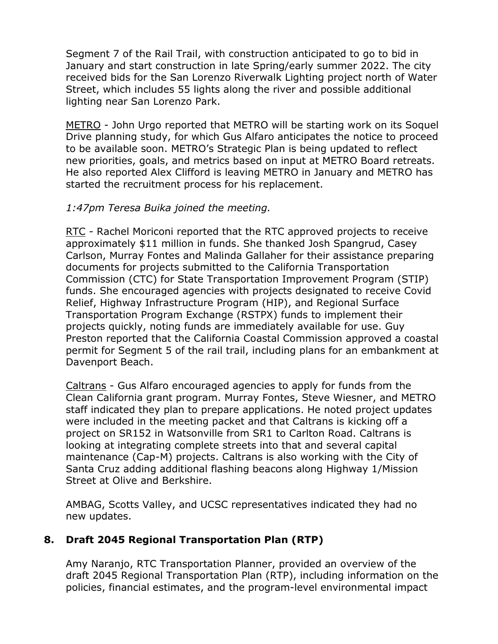Segment 7 of the Rail Trail, with construction anticipated to go to bid in January and start construction in late Spring/early summer 2022. The city received bids for the San Lorenzo Riverwalk Lighting project north of Water Street, which includes 55 lights along the river and possible additional lighting near San Lorenzo Park.

METRO - John Urgo reported that METRO will be starting work on its Soquel Drive planning study, for which Gus Alfaro anticipates the notice to proceed to be available soon. METRO's Strategic Plan is being updated to reflect new priorities, goals, and metrics based on input at METRO Board retreats. He also reported Alex Clifford is leaving METRO in January and METRO has started the recruitment process for his replacement.

## *1:47pm Teresa Buika joined the meeting.*

RTC - Rachel Moriconi reported that the RTC approved projects to receive approximately \$11 million in funds. She thanked Josh Spangrud, Casey Carlson, Murray Fontes and Malinda Gallaher for their assistance preparing documents for projects submitted to the California Transportation Commission (CTC) for State Transportation Improvement Program (STIP) funds. She encouraged agencies with projects designated to receive Covid Relief, Highway Infrastructure Program (HIP), and Regional Surface Transportation Program Exchange (RSTPX) funds to implement their projects quickly, noting funds are immediately available for use. Guy Preston reported that the California Coastal Commission approved a coastal permit for Segment 5 of the rail trail, including plans for an embankment at Davenport Beach.

Caltrans - Gus Alfaro encouraged agencies to apply for funds from the Clean California grant program. Murray Fontes, Steve Wiesner, and METRO staff indicated they plan to prepare applications. He noted project updates were included in the meeting packet and that Caltrans is kicking off a project on SR152 in Watsonville from SR1 to Carlton Road. Caltrans is looking at integrating complete streets into that and several capital maintenance (Cap-M) projects. Caltrans is also working with the City of Santa Cruz adding additional flashing beacons along Highway 1/Mission Street at Olive and Berkshire.

AMBAG, Scotts Valley, and UCSC representatives indicated they had no new updates.

# **8. Draft 2045 Regional Transportation Plan (RTP)**

Amy Naranjo, RTC Transportation Planner, provided an overview of the draft 2045 Regional Transportation Plan (RTP), including information on the policies, financial estimates, and the program-level environmental impact